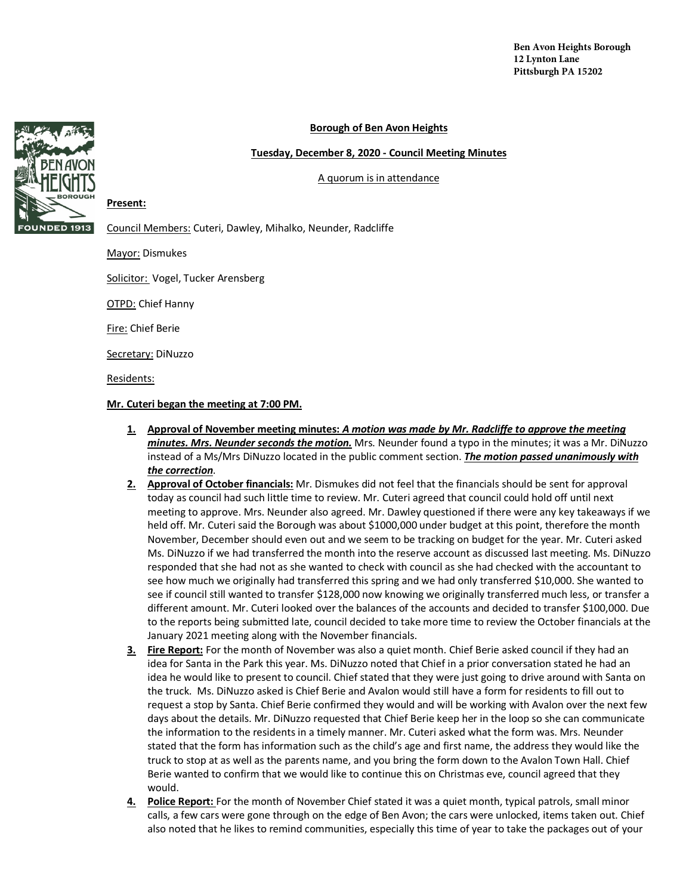## **Borough of Ben Avon Heights**

### **Tuesday, December 8, 2020 - Council Meeting Minutes**

A quorum is in attendance



# **Present:**

Council Members: Cuteri, Dawley, Mihalko, Neunder, Radcliffe

Mayor: Dismukes

Solicitor: Vogel, Tucker Arensberg

OTPD: Chief Hanny

Fire: Chief Berie

Secretary: DiNuzzo

Residents:

**Mr. Cuteri began the meeting at 7:00 PM.** 

- **1. Approval of November meeting minutes:** *A motion was made by Mr. Radcliffe to approve the meeting minutes. Mrs. Neunder seconds the motion.* Mrs. Neunder found a typo in the minutes; it was a Mr. DiNuzzo instead of a Ms/Mrs DiNuzzo located in the public comment section. *The motion passed unanimously with the correction*.
- **2. Approval of October financials:** Mr. Dismukes did not feel that the financials should be sent for approval today as council had such little time to review. Mr. Cuteri agreed that council could hold off until next meeting to approve. Mrs. Neunder also agreed. Mr. Dawley questioned if there were any key takeaways if we held off. Mr. Cuteri said the Borough was about \$1000,000 under budget at this point, therefore the month November, December should even out and we seem to be tracking on budget for the year. Mr. Cuteri asked Ms. DiNuzzo if we had transferred the month into the reserve account as discussed last meeting. Ms. DiNuzzo responded that she had not as she wanted to check with council as she had checked with the accountant to see how much we originally had transferred this spring and we had only transferred \$10,000. She wanted to see if council still wanted to transfer \$128,000 now knowing we originally transferred much less, or transfer a different amount. Mr. Cuteri looked over the balances of the accounts and decided to transfer \$100,000. Due to the reports being submitted late, council decided to take more time to review the October financials at the January 2021 meeting along with the November financials.
- **3. Fire Report:** For the month of November was also a quiet month. Chief Berie asked council if they had an idea for Santa in the Park this year. Ms. DiNuzzo noted that Chief in a prior conversation stated he had an idea he would like to present to council. Chief stated that they were just going to drive around with Santa on the truck. Ms. DiNuzzo asked is Chief Berie and Avalon would still have a form for residents to fill out to request a stop by Santa. Chief Berie confirmed they would and will be working with Avalon over the next few days about the details. Mr. DiNuzzo requested that Chief Berie keep her in the loop so she can communicate the information to the residents in a timely manner. Mr. Cuteri asked what the form was. Mrs. Neunder stated that the form has information such as the child's age and first name, the address they would like the truck to stop at as well as the parents name, and you bring the form down to the Avalon Town Hall. Chief Berie wanted to confirm that we would like to continue this on Christmas eve, council agreed that they would.
- **4. Police Report:** For the month of November Chief stated it was a quiet month, typical patrols, small minor calls, a few cars were gone through on the edge of Ben Avon; the cars were unlocked, items taken out. Chief also noted that he likes to remind communities, especially this time of year to take the packages out of your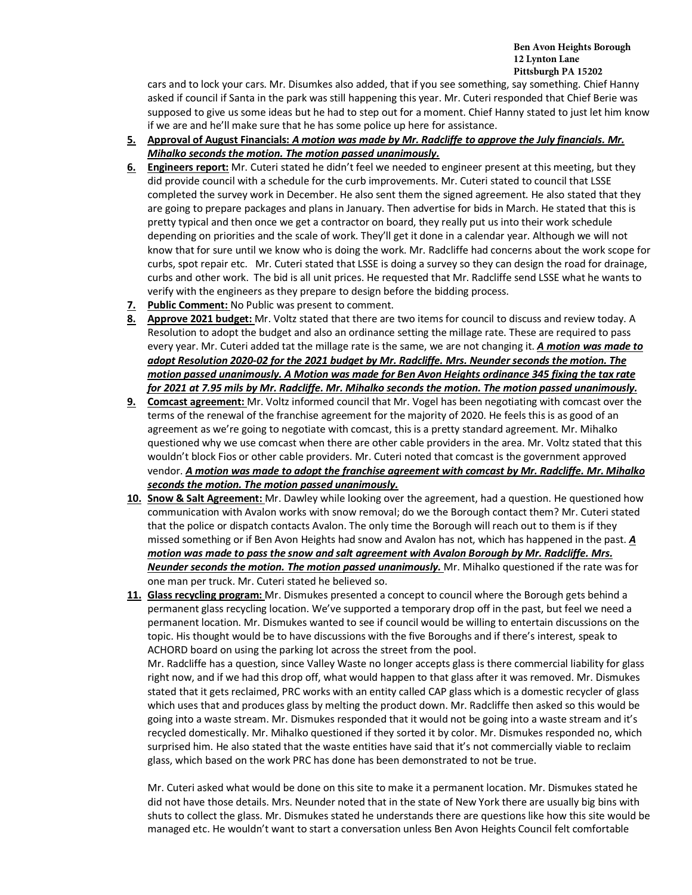### **Ben Avon Heights Borough 12 Lynton Lane Pittsburgh PA 15202**

cars and to lock your cars. Mr. Disumkes also added, that if you see something, say something. Chief Hanny asked if council if Santa in the park was still happening this year. Mr. Cuteri responded that Chief Berie was supposed to give us some ideas but he had to step out for a moment. Chief Hanny stated to just let him know if we are and he'll make sure that he has some police up here for assistance.

- **5. Approval of August Financials:** *A motion was made by Mr. Radcliffe to approve the July financials. Mr. Mihalko seconds the motion. The motion passed unanimously.*
- **6. Engineers report:** Mr. Cuteri stated he didn't feel we needed to engineer present at this meeting, but they did provide council with a schedule for the curb improvements. Mr. Cuteri stated to council that LSSE completed the survey work in December. He also sent them the signed agreement. He also stated that they are going to prepare packages and plans in January. Then advertise for bids in March. He stated that this is pretty typical and then once we get a contractor on board, they really put us into their work schedule depending on priorities and the scale of work. They'll get it done in a calendar year. Although we will not know that for sure until we know who is doing the work. Mr. Radcliffe had concerns about the work scope for curbs, spot repair etc. Mr. Cuteri stated that LSSE is doing a survey so they can design the road for drainage, curbs and other work. The bid is all unit prices. He requested that Mr. Radcliffe send LSSE what he wants to verify with the engineers as they prepare to design before the bidding process.
- **7. Public Comment:** No Public was present to comment.
- **8. Approve 2021 budget:** Mr. Voltz stated that there are two items for council to discuss and review today. A Resolution to adopt the budget and also an ordinance setting the millage rate. These are required to pass every year. Mr. Cuteri added tat the millage rate is the same, we are not changing it. *A motion was made to adopt Resolution 2020-02 for the 2021 budget by Mr. Radcliffe. Mrs. Neunder seconds the motion. The motion passed unanimously. A Motion was made for Ben Avon Heights ordinance 345 fixing the tax rate for 2021 at 7.95 mils by Mr. Radcliffe. Mr. Mihalko seconds the motion. The motion passed unanimously.*
- **9. Comcast agreement:** Mr. Voltz informed council that Mr. Vogel has been negotiating with comcast over the terms of the renewal of the franchise agreement for the majority of 2020. He feels this is as good of an agreement as we're going to negotiate with comcast, this is a pretty standard agreement. Mr. Mihalko questioned why we use comcast when there are other cable providers in the area. Mr. Voltz stated that this wouldn't block Fios or other cable providers. Mr. Cuteri noted that comcast is the government approved vendor. *A motion was made to adopt the franchise agreement with comcast by Mr. Radcliffe. Mr. Mihalko seconds the motion. The motion passed unanimously.*
- **10. Snow & Salt Agreement:** Mr. Dawley while looking over the agreement, had a question. He questioned how communication with Avalon works with snow removal; do we the Borough contact them? Mr. Cuteri stated that the police or dispatch contacts Avalon. The only time the Borough will reach out to them is if they missed something or if Ben Avon Heights had snow and Avalon has not, which has happened in the past. *A motion was made to pass the snow and salt agreement with Avalon Borough by Mr. Radcliffe. Mrs. Neunder seconds the motion. The motion passed unanimously.* Mr. Mihalko questioned if the rate was for one man per truck. Mr. Cuteri stated he believed so.
- **11. Glass recycling program:** Mr. Dismukes presented a concept to council where the Borough gets behind a permanent glass recycling location. We've supported a temporary drop off in the past, but feel we need a permanent location. Mr. Dismukes wanted to see if council would be willing to entertain discussions on the topic. His thought would be to have discussions with the five Boroughs and if there's interest, speak to ACHORD board on using the parking lot across the street from the pool.

Mr. Radcliffe has a question, since Valley Waste no longer accepts glass is there commercial liability for glass right now, and if we had this drop off, what would happen to that glass after it was removed. Mr. Dismukes stated that it gets reclaimed, PRC works with an entity called CAP glass which is a domestic recycler of glass which uses that and produces glass by melting the product down. Mr. Radcliffe then asked so this would be going into a waste stream. Mr. Dismukes responded that it would not be going into a waste stream and it's recycled domestically. Mr. Mihalko questioned if they sorted it by color. Mr. Dismukes responded no, which surprised him. He also stated that the waste entities have said that it's not commercially viable to reclaim glass, which based on the work PRC has done has been demonstrated to not be true.

Mr. Cuteri asked what would be done on this site to make it a permanent location. Mr. Dismukes stated he did not have those details. Mrs. Neunder noted that in the state of New York there are usually big bins with shuts to collect the glass. Mr. Dismukes stated he understands there are questions like how this site would be managed etc. He wouldn't want to start a conversation unless Ben Avon Heights Council felt comfortable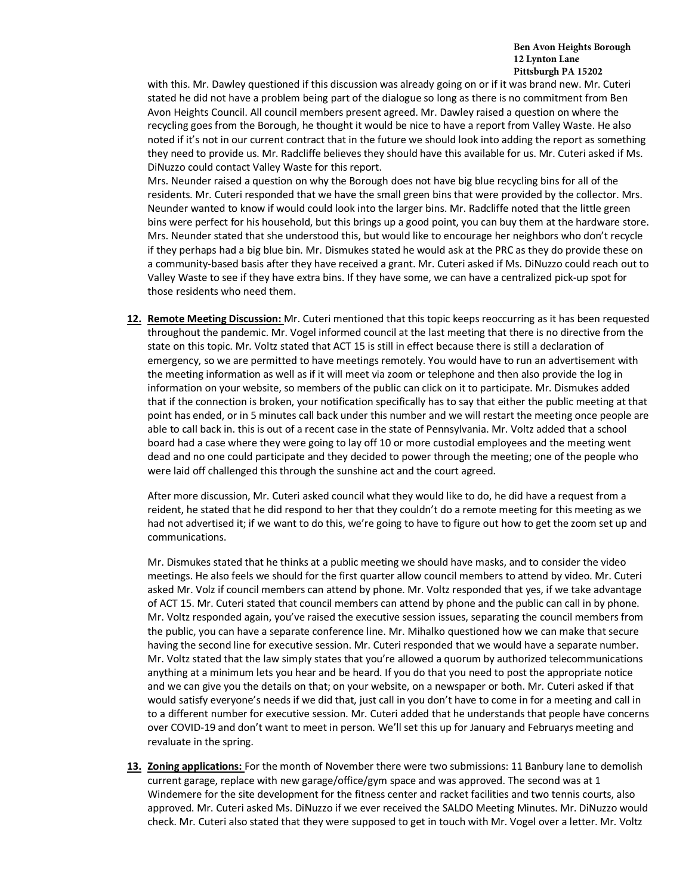with this. Mr. Dawley questioned if this discussion was already going on or if it was brand new. Mr. Cuteri stated he did not have a problem being part of the dialogue so long as there is no commitment from Ben Avon Heights Council. All council members present agreed. Mr. Dawley raised a question on where the recycling goes from the Borough, he thought it would be nice to have a report from Valley Waste. He also noted if it's not in our current contract that in the future we should look into adding the report as something they need to provide us. Mr. Radcliffe believes they should have this available for us. Mr. Cuteri asked if Ms. DiNuzzo could contact Valley Waste for this report.

Mrs. Neunder raised a question on why the Borough does not have big blue recycling bins for all of the residents. Mr. Cuteri responded that we have the small green bins that were provided by the collector. Mrs. Neunder wanted to know if would could look into the larger bins. Mr. Radcliffe noted that the little green bins were perfect for his household, but this brings up a good point, you can buy them at the hardware store. Mrs. Neunder stated that she understood this, but would like to encourage her neighbors who don't recycle if they perhaps had a big blue bin. Mr. Dismukes stated he would ask at the PRC as they do provide these on a community-based basis after they have received a grant. Mr. Cuteri asked if Ms. DiNuzzo could reach out to Valley Waste to see if they have extra bins. If they have some, we can have a centralized pick-up spot for those residents who need them.

**12. Remote Meeting Discussion:** Mr. Cuteri mentioned that this topic keeps reoccurring as it has been requested throughout the pandemic. Mr. Vogel informed council at the last meeting that there is no directive from the state on this topic. Mr. Voltz stated that ACT 15 is still in effect because there is still a declaration of emergency, so we are permitted to have meetings remotely. You would have to run an advertisement with the meeting information as well as if it will meet via zoom or telephone and then also provide the log in information on your website, so members of the public can click on it to participate. Mr. Dismukes added that if the connection is broken, your notification specifically has to say that either the public meeting at that point has ended, or in 5 minutes call back under this number and we will restart the meeting once people are able to call back in. this is out of a recent case in the state of Pennsylvania. Mr. Voltz added that a school board had a case where they were going to lay off 10 or more custodial employees and the meeting went dead and no one could participate and they decided to power through the meeting; one of the people who were laid off challenged this through the sunshine act and the court agreed.

After more discussion, Mr. Cuteri asked council what they would like to do, he did have a request from a reident, he stated that he did respond to her that they couldn't do a remote meeting for this meeting as we had not advertised it; if we want to do this, we're going to have to figure out how to get the zoom set up and communications.

Mr. Dismukes stated that he thinks at a public meeting we should have masks, and to consider the video meetings. He also feels we should for the first quarter allow council members to attend by video. Mr. Cuteri asked Mr. Volz if council members can attend by phone. Mr. Voltz responded that yes, if we take advantage of ACT 15. Mr. Cuteri stated that council members can attend by phone and the public can call in by phone. Mr. Voltz responded again, you've raised the executive session issues, separating the council members from the public, you can have a separate conference line. Mr. Mihalko questioned how we can make that secure having the second line for executive session. Mr. Cuteri responded that we would have a separate number. Mr. Voltz stated that the law simply states that you're allowed a quorum by authorized telecommunications anything at a minimum lets you hear and be heard. If you do that you need to post the appropriate notice and we can give you the details on that; on your website, on a newspaper or both. Mr. Cuteri asked if that would satisfy everyone's needs if we did that, just call in you don't have to come in for a meeting and call in to a different number for executive session. Mr. Cuteri added that he understands that people have concerns over COVID-19 and don't want to meet in person. We'll set this up for January and Februarys meeting and revaluate in the spring.

**13. Zoning applications:** For the month of November there were two submissions: 11 Banbury lane to demolish current garage, replace with new garage/office/gym space and was approved. The second was at 1 Windemere for the site development for the fitness center and racket facilities and two tennis courts, also approved. Mr. Cuteri asked Ms. DiNuzzo if we ever received the SALDO Meeting Minutes. Mr. DiNuzzo would check. Mr. Cuteri also stated that they were supposed to get in touch with Mr. Vogel over a letter. Mr. Voltz